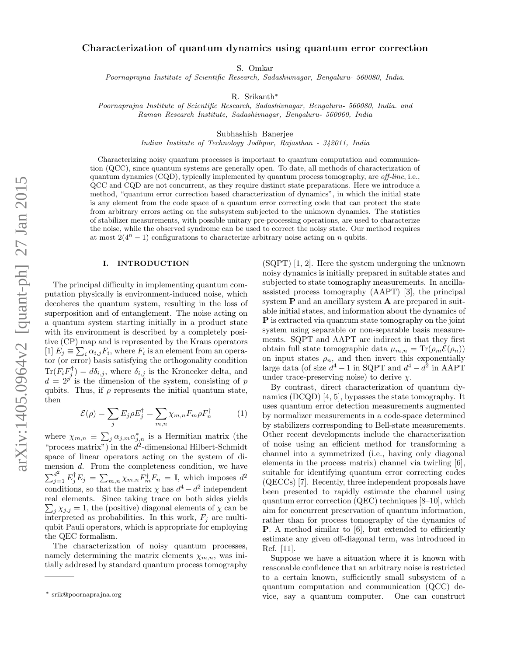# Characterization of quantum dynamics using quantum error correction

S. Omkar

Poornaprajna Institute of Scientific Research, Sadashivnagar, Bengaluru- 560080, India.

R. Srikanth∗

Poornaprajna Institute of Scientific Research, Sadashivnagar, Bengaluru- 560080, India. and Raman Research Institute, Sadashivnagar, Bengaluru- 560060, India

Subhashish Banerjee

Indian Institute of Technology Jodhpur, Rajasthan - 342011, India

Characterizing noisy quantum processes is important to quantum computation and communication (QCC), since quantum systems are generally open. To date, all methods of characterization of quantum dynamics (CQD), typically implemented by quantum process tomography, are off-line, i.e., QCC and CQD are not concurrent, as they require distinct state preparations. Here we introduce a method, "quantum error correction based characterization of dynamics", in which the initial state is any element from the code space of a quantum error correcting code that can protect the state from arbitrary errors acting on the subsystem subjected to the unknown dynamics. The statistics of stabilizer measurements, with possible unitary pre-processing operations, are used to characterize the noise, while the observed syndrome can be used to correct the noisy state. Our method requires at most  $2(4^n - 1)$  configurations to characterize arbitrary noise acting on n qubits.

#### I. INTRODUCTION

The principal difficulty in implementing quantum computation physically is environment-induced noise, which decoheres the quantum system, resulting in the loss of superposition and of entanglement. The noise acting on a quantum system starting initially in a product state with its environment is described by a completely positive (CP) map and is represented by the Kraus operators [1]  $E_j \equiv \sum_i \alpha_{i,j} F_i$ , where  $F_i$  is an element from an operator (or error) basis satisfying the orthogonality condition  $\text{Tr}(F_i F_j^{\dagger}) = d\delta_{i,j}$ , where  $\delta_{i,j}$  is the Kronecker delta, and  $d = 2^{p'}$  is the dimension of the system, consisting of p qubits. Thus, if  $\rho$  represents the initial quantum state, then

$$
\mathcal{E}(\rho) = \sum_{j} E_{j} \rho E_{j}^{\dagger} = \sum_{m,n} \chi_{m,n} F_{m} \rho F_{n}^{\dagger}
$$
 (1)

where  $\chi_{m,n} \equiv \sum_j \alpha_{j,m} \alpha_{j,n}^*$  is a Hermitian matrix (the "process matrix") in the  $d^2$ -dimensional Hilbert-Schmidt space of linear operators acting on the system of dimension d. From the completeness condition, we have  $\sum_{j=1}^{d^2} E_j^{\dagger} E_j = \sum_{m,n} \chi_{m,n} F_m^{\dagger} F_n = \mathbb{I}$ , which imposes  $d^2$ conditions, so that the matrix  $\chi$  has  $d^4 - d^2$  independent real elements. Since taking trace on both sides yields  $\sum_j \chi_{j,j} = 1$ , the (positive) diagonal elements of  $\chi$  can be interpreted as probabilities. In this work,  $F_i$  are multiqubit Pauli operators, which is appropriate for employing the QEC formalism.

The characterization of noisy quantum processes, namely determining the matrix elements  $\chi_{m,n}$ , was initially addresed by standard quantum process tomography

(SQPT) [1, 2]. Here the system undergoing the unknown noisy dynamics is initially prepared in suitable states and subjected to state tomography measurements. In ancillaassisted process tomography (AAPT) [3], the principal system **P** and an ancillary system **A** are prepared in suitable initial states, and information about the dynamics of P is extracted via quantum state tomography on the joint system using separable or non-separable basis measurements. SQPT and AAPT are indirect in that they first obtain full state tomographic data  $\mu_{m,n} = \text{Tr}(\rho_m \mathcal{E}(\rho_n))$ on input states  $\rho_n$ , and then invert this exponentially large data (of size  $d^4 - 1$  in SQPT and  $d^4 - d^2$  in AAPT under trace-preserving noise) to derive  $\chi$ .

By contrast, direct characterization of quantum dynamics (DCQD) [4, 5], bypasses the state tomography. It uses quantum error detection measurements augmented by normalizer measurements in a code-space determined by stabilizers corresponding to Bell-state measurements. Other recent developments include the characterization of noise using an efficient method for transforming a channel into a symmetrized (i.e., having only diagonal elements in the process matrix) channel via twirling [6], suitable for identifying quantum error correcting codes (QECCs) [7]. Recently, three independent proposals have been presented to rapidly estimate the channel using quantum error correction (QEC) techniques [8–10], which aim for concurrent preservation of quantum information, rather than for process tomography of the dynamics of P. A method similar to [6], but extended to efficiently estimate any given off-diagonal term, was introduced in Ref. [11].

Suppose we have a situation where it is known with reasonable confidence that an arbitrary noise is restricted to a certain known, sufficiently small subsystem of a quantum computation and communication (QCC) device, say a quantum computer. One can construct

<sup>∗</sup> srik@poornaprajna.org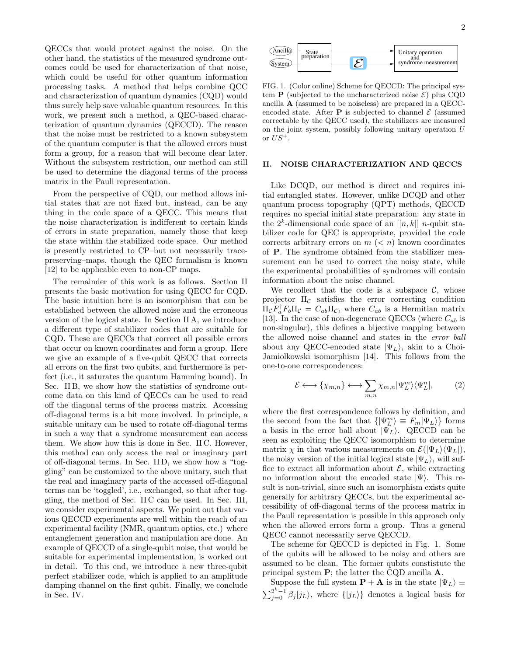QECCs that would protect against the noise. On the other hand, the statistics of the measured syndrome outcomes could be used for characterization of that noise, which could be useful for other quantum information processing tasks. A method that helps combine QCC and characterization of quantum dynamics (CQD) would thus surely help save valuable quantum resources. In this work, we present such a method, a QEC-based characterization of quantum dynamics (QECCD). The reason that the noise must be restricted to a known subsystem of the quantum computer is that the allowed errors must form a group, for a reason that will become clear later. Without the subsystem restriction, our method can still be used to determine the diagonal terms of the process matrix in the Pauli representation.

From the perspective of CQD, our method allows initial states that are not fixed but, instead, can be any thing in the code space of a QECC. This means that the noise characterization is indifferent to certain kinds of errors in state preparation, namely those that keep the state within the stabilized code space. Our method is presently restricted to CP–but not necessarily tracepreserving–maps, though the QEC formalism is known [12] to be applicable even to non-CP maps.

The remainder of this work is as follows. Section II presents the basic motivation for using QECC for CQD. The basic intuition here is an isomorphism that can be established between the allowed noise and the erroneous version of the logical state. In Section II A, we introduce a different type of stabilizer codes that are suitable for CQD. These are QECCs that correct all possible errors that occur on known coordinates and form a group. Here we give an example of a five-qubit QECC that corrects all errors on the first two qubits, and furthermore is perfect (i.e., it saturates the quantum Hamming bound). In Sec. II B, we show how the statistics of syndrome outcome data on this kind of QECCs can be used to read off the diagonal terms of the process matrix. Accessing off-diagonal terms is a bit more involved. In principle, a suitable unitary can be used to rotate off-diagonal terms in such a way that a syndrome measurement can access them. We show how this is done in Sec. II C. However, this method can only access the real or imaginary part of off-diagonal terms. In Sec. II D, we show how a "toggling" can be customized to the above unitary, such that the real and imaginary parts of the accessed off-diagonal terms can be 'toggled', i.e., exchanged, so that after toggling, the method of Sec. II C can be used. In Sec. III, we consider experimental aspects. We point out that various QECCD experiments are well within the reach of an experimental facility (NMR, quantum optics, etc.) where entanglement generation and manipulation are done. An example of QECCD of a single-qubit noise, that would be suitable for experimental implementation, is worked out in detail. To this end, we introduce a new three-qubit perfect stabilizer code, which is applied to an amplitude damping channel on the first qubit. Finally, we conclude in Sec. IV.



FIG. 1. (Color online) Scheme for QECCD: The principal system **P** (subjected to the uncharacterized noise  $\mathcal{E}$ ) plus CQD ancilla A (assumed to be noiseless) are prepared in a QECCencoded state. After **P** is subjected to channel  $\mathcal{E}$  (assumed correctable by the QECC used), the stabilizers are measured on the joint system, possibly following unitary operation U or  $US^+$ .

### II. NOISE CHARACTERIZATION AND QECCS

Like DCQD, our method is direct and requires initial entangled states. However, unlike DCQD and other quantum process topography (QPT) methods, QECCD requires no special initial state preparation: any state in the  $2^k$ -dimensional code space of an  $[[n, k]]$  n-qubit stabilizer code for QEC is appropriate, provided the code corrects arbitrary errors on  $m$   $(< n)$  known coordinates of P. The syndrome obtained from the stabilizer measurement can be used to correct the noisy state, while the experimental probabilities of syndromes will contain information about the noise channel.

We recollect that the code is a subspace  $\mathcal{C}$ , whose projector  $\Pi_{\mathcal{C}}$  satisfies the error correcting condition  $\Pi_{\mathcal{C}} F_a^{\dagger} F_b \Pi_{\mathcal{C}} = C_{ab} \Pi_{\mathcal{C}}$ , where  $C_{ab}$  is a Hermitian matrix [13]. In the case of non-degenerate QECCs (where  $C_{ab}$  is non-singular), this defines a bijective mapping between the allowed noise channel and states in the error ball about any QECC-encoded state  $|\Psi_L\rangle$ , akin to a Choi-Jamiolkowski isomorphism [14]. This follows from the one-to-one correspondences:

$$
\mathcal{E} \longleftrightarrow {\chi_{m,n}} \longleftrightarrow \sum_{m,n} {\chi_{m,n}} |\Psi_L^m\rangle \langle \Psi_L^n|, \qquad (2)
$$

where the first correspondence follows by definition, and the second from the fact that  $\{|\Psi_L^m\rangle \equiv F_m|\Psi_L\rangle\}$  forms a basis in the error ball about  $|\Psi_L\rangle$ . QECCD can be seen as exploiting the QECC isomorphism to determine matrix  $\chi$  in that various measurements on  $\mathcal{E}(|\Psi_L\rangle\langle\Psi_L|)$ , the noisy version of the initial logical state  $|\Psi_L\rangle$ , will suffice to extract all information about  $\mathcal{E}$ , while extracting no information about the encoded state  $|\Psi\rangle$ . This result is non-trivial, since such an isomorphism exists quite generally for arbitrary QECCs, but the experimental accessibility of off-diagonal terms of the process matrix in the Pauli representation is possible in this approach only when the allowed errors form a group. Thus a general QECC cannot necessarily serve QECCD.

The scheme for QECCD is depicted in Fig. 1. Some of the qubits will be allowed to be noisy and others are assumed to be clean. The former qubits constistute the principal system P; the latter the CQD ancilla A.

Suppose the full system  $\mathbf{P} + \mathbf{A}$  is in the state  $|\Psi_L\rangle \equiv$  $\sum_{j=0}^{2^k-1} \beta_j |j_L\rangle$ , where  $\{|j_L\rangle\}$  denotes a logical basis for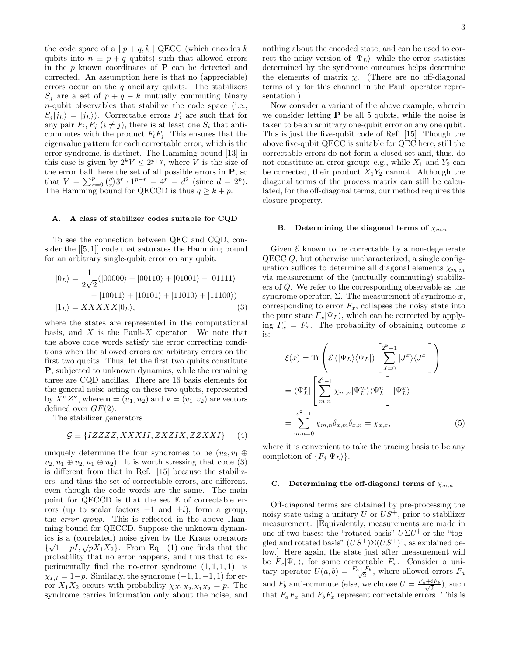the code space of a  $[[p+q,k]]$  QECC (which encodes k qubits into  $n \equiv p + q$  qubits) such that allowed errors in the  $p$  known coordinates of  $P$  can be detected and corrected. An assumption here is that no (appreciable) errors occur on the  $q$  ancillary qubits. The stabilizers  $S_j$  are a set of  $p + q - k$  mutually commuting binary n-qubit observables that stabilize the code space (i.e.,  $S_i |j_L\rangle = |j_L\rangle$ . Correctable errors  $F_i$  are such that for any pair  $F_i, F_j$   $(i \neq j)$ , there is at least one  $S_i$  that anticommutes with the product  $F_i F_j$ . This ensures that the eigenvalue pattern for each correctable error, which is the error syndrome, is distinct. The Hamming bound [13] in this case is given by  $2^k V \leq 2^{p+q}$ , where V is the size of the error ball, here the set of all possible errors in P, so that  $V = \sum_{r=0}^{p} {p \choose r} 3^r \cdot 1^{p-r} = 4^p = d^2$  (since  $d = 2^p$ ). The Hamming bound for QECCD is thus  $q \geq k + p$ .

### A. A class of stabilizer codes suitable for CQD

To see the connection between QEC and CQD, consider the [[5, 1]] code that saturates the Hamming bound for an arbitrary single-qubit error on any qubit:

$$
|0_L\rangle = \frac{1}{2\sqrt{2}}(|00000\rangle + |00110\rangle + |01001\rangle - |01111\rangle - |10011\rangle + |10101\rangle + |11010\rangle + |11100\rangle)
$$
  

$$
|1_L\rangle = XXXXX|0_L\rangle,
$$
 (3)

where the states are represented in the computational basis, and  $X$  is the Pauli- $X$  operator. We note that the above code words satisfy the error correcting conditions when the allowed errors are arbitrary errors on the first two qubits. Thus, let the first two qubits constitute P, subjected to unknown dynamics, while the remaining three are CQD ancillas. There are 16 basis elements for the general noise acting on these two qubits, represented by  $\overline{X}$ **<sup>u</sup>** $Z$ **v**, where **u** =  $(u_1, u_2)$  and **v** =  $(v_1, v_2)$  are vectors defined over  $GF(2)$ .

The stabilizer generators

$$
\mathcal{G} \equiv \{IZZZZ, XXXII, ZXZIX, ZZXXI\} \tag{4}
$$

uniquely determine the four syndromes to be  $(u_2, v_1 \oplus$  $v_2, u_1 \oplus v_2, u_1 \oplus u_2$ . It is worth stressing that code (3) is different from that in Ref. [15] because the stabilizers, and thus the set of correctable errors, are different, even though the code words are the same. The main point for QECCD is that the set E of correctable errors (up to scalar factors  $\pm 1$  and  $\pm i$ ), form a group, the error group. This is reflected in the above Hamming bound for QECCD. Suppose the unknown dynamics is a (correlated) noise given by the Kraus operators  $\{\sqrt{1-p}I, \sqrt{p}X_1X_2\}$ . From Eq. (1) one finds that the probability that no error happens, and thus that to experimentally find the no-error syndrome  $(1, 1, 1, 1)$ , is  $\chi_{I,I} = 1-p$ . Similarly, the syndrome  $(-1, 1, -1, 1)$  for error  $X_1X_2$  occurs with probability  $\chi_{X_1X_2,X_1X_2} = p$ . The syndrome carries information only about the noise, and

nothing about the encoded state, and can be used to correct the noisy version of  $|\Psi_L\rangle$ , while the error statistics determined by the syndrome outcomes helps determine the elements of matrix  $\chi$ . (There are no off-diagonal terms of  $\chi$  for this channel in the Pauli operator representation.)

Now consider a variant of the above example, wherein we consider letting  $P$  be all 5 qubits, while the noise is taken to be an arbitrary one-qubit error on any one qubit. This is just the five-qubit code of Ref. [15]. Though the above five-qubit QECC is suitable for QEC here, still the correctable errors do not form a closed set and, thus, do not constitute an error group: e.g., while  $X_1$  and  $Y_2$  can be corrected, their product  $X_1Y_2$  cannot. Although the diagonal terms of the process matrix can still be calculated, for the off-diagonal terms, our method requires this closure property.

#### B. Determining the diagonal terms of  $\chi_{m,n}$

Given  $\mathcal E$  known to be correctable by a non-degenerate QECC Q, but otherwise uncharacterized, a single configuration suffices to determine all diagonal elements  $\chi_{m,m}$ via measurement of the (mutually commuting) stabilizers of Q. We refer to the corresponding observable as the syndrome operator,  $\Sigma$ . The measurement of syndrome x, corresponding to error  $F_x$ , collapses the noisy state into the pure state  $F_x|\Psi_L\rangle$ , which can be corrected by applying  $F_x^{\dagger} = F_x$ . The probability of obtaining outcome x is:

$$
\xi(x) = \text{Tr}\left(\mathcal{E}\left(|\Psi_L\rangle\langle\Psi_L|\right)\left[\sum_{J=0}^{2^k-1} |J^x\rangle\langle J^x|\right]\right)
$$

$$
= \langle\Psi_L^x| \left[\sum_{m,n}^{d^2-1} \chi_{m,n} |\Psi_L^m\rangle\langle\Psi_L^n|\right] |\Psi_L^x\rangle
$$

$$
= \sum_{m,n=0}^{d^2-1} \chi_{m,n} \delta_{x,m} \delta_{x,n} = \chi_{x,x}, \tag{5}
$$

where it is convenient to take the tracing basis to be any completion of  $\{F_i | \Psi_L \rangle\}.$ 

#### C. Determining the off-diagonal terms of  $\chi_{m,n}$

Off-diagonal terms are obtained by pre-processing the noisy state using a unitary  $U$  or  $US^+$ , prior to stabilizer measurement. [Equivalently, measurements are made in one of two bases: the "rotated basis"  $U\Sigma U^{\dagger}$  or the "toggled and rotated basis"  $(US^+) \Sigma (US^+)^{\dagger}$ , as explained below.] Here again, the state just after measurement will be  $F_x|\Psi_L\rangle$ , for some correctable  $F_x$ . Consider a unitary operator  $U(a, b) = \frac{F_a + F_b}{\sqrt{2}}$  $\frac{2^{-F_b}}{2}$ , where allowed errors  $F_a$ and  $F_b$  anti-commute (else, we choose  $U = \frac{F_a + iF_b}{\sqrt{2}}$  $\frac{iF_b}{2}$ ), such that  $F_aF_x$  and  $F_bF_x$  represent correctable errors. This is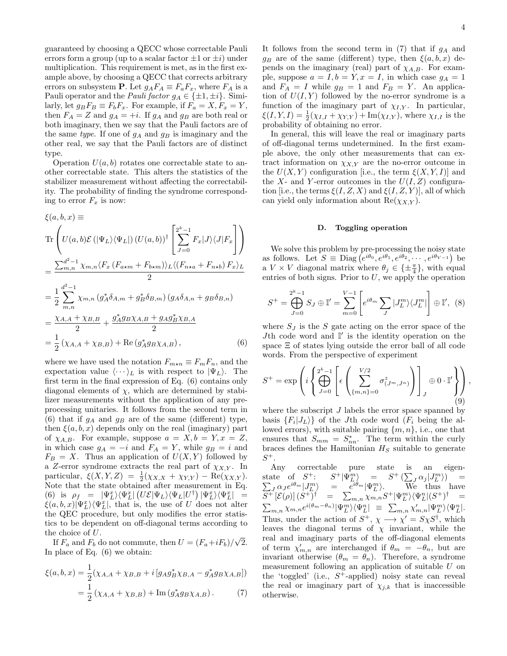guaranteed by choosing a QECC whose correctable Pauli errors form a group (up to a scalar factor  $\pm 1$  or  $\pm i$ ) under multiplication. This requirement is met, as in the first example above, by choosing a QECC that corrects arbitrary errors on subsystem **P**. Let  $g_A F_A \equiv F_a F_x$ , where  $F_A$  is a Pauli operator and the *Pauli factor*  $g_A \in \{\pm 1, \pm i\}$ . Similarly, let  $g_B F_B \equiv F_b F_x$ . For example, if  $F_a = X, F_x = Y$ , then  $F_A = Z$  and  $g_A = +i$ . If  $g_A$  and  $g_B$  are both real or both imaginary, then we say that the Pauli factors are of the same type. If one of  $g_A$  and  $g_B$  is imaginary and the other real, we say that the Pauli factors are of distinct type.

Operation  $U(a, b)$  rotates one correctable state to another correctable state. This alters the statistics of the stabilizer measurement without affecting the correctability. The probability of finding the syndrome corresponding to error  $F_x$  is now:

$$
\xi(a, b, x) \equiv
$$
\n
$$
\operatorname{Tr}\left(U(a, b)\mathcal{E}\left(|\Psi_L\rangle\langle\Psi_L|\right)\left(U(a, b)\right)^{\dagger}\left[\sum_{J=0}^{2^k-1}F_x|J\rangle\langle J|F_x\right]\right)
$$
\n
$$
=\frac{\sum_{m,n}^{d^2-1} \chi_{m,n}\langle F_x\left(F_{a\star m} + F_{b\star m}\right)\rangle_L\langle\left(F_{n\star a} + F_{n\star b}\right)F_x\rangle_L}{2}
$$
\n
$$
=\frac{1}{2}\sum_{m,n}^{d^2-1} \chi_{m,n}\left(g_A^*\delta_{A,m} + g_B^*\delta_{B,m}\right)\left(g_A\delta_{A,n} + g_B\delta_{B,n}\right)
$$
\n
$$
=\frac{\chi_{A,A} + \chi_{B,B}}{2} + \frac{g_A^*g_B\chi_{A,B} + g_Ag_B^*\chi_{B,A}}{2}
$$
\n
$$
=\frac{1}{2}\left(\chi_{A,A} + \chi_{B,B}\right) + \operatorname{Re}\left(g_A^*g_B\chi_{A,B}\right),\tag{6}
$$

where we have used the notation  $F_{m*n} \equiv F_m F_n$ , and the expectation value  $\langle \cdots \rangle_L$  is with respect to  $|\Psi_L\rangle$ . The first term in the final expression of Eq. (6) contains only diagonal elements of  $\chi$ , which are determined by stabilizer measurements without the application of any preprocessing unitaries. It follows from the second term in (6) that if  $g_A$  and  $g_B$  are of the same (different) type, then  $\xi(a, b, x)$  depends only on the real (imaginary) part of  $\chi_{A,B}$ . For example, suppose  $a = X, b = Y, x = Z$ , in which case  $g_A = -i$  and  $F_A = Y$ , while  $g_B = i$  and  $F_B = X$ . Thus an application of  $U(X, Y)$  followed by a Z-error syndrome extracts the real part of  $\chi_{X,Y}$ . In particular,  $\xi(X, Y, Z) = \frac{1}{2}(\chi_{X,X} + \chi_{Y,Y}) - \text{Re}(\chi_{X,Y}).$ Note that the state obtained after measurement in Eq. (6) is  $\rho_f = |\Psi_L^x\rangle \langle \Psi_L^x| (U \mathcal{E} | \Psi_L \rangle \langle \Psi_L | U^{\dagger}) | \Psi_L^x\rangle \langle \Psi_L^x| =$  $\xi(a, b, x) \Psi_L^x \rangle \langle \Psi_L^x |$ , that is, the use of U does not alter the QEC procedure, but only modifies the error statistics to be dependent on off-diagonal terms according to the choice of U.

If  $F_a$  and  $F_b$  do not commute, then  $U = (F_a + iF_b)/\sqrt{2}$ . In place of Eq. (6) we obtain:

$$
\xi(a, b, x) = \frac{1}{2} (\chi_{A,A} + \chi_{B,B} + i [g_A g_B^* \chi_{B,A} - g_A^* g_B \chi_{A,B}])
$$
  
= 
$$
\frac{1}{2} (\chi_{A,A} + \chi_{B,B}) + \text{Im} (g_A^* g_B \chi_{A,B}).
$$
 (7)

It follows from the second term in  $(7)$  that if  $g_A$  and  $g_B$  are of the same (different) type, then  $\xi(a, b, x)$  depends on the imaginary (real) part of  $\chi_{A,B}$ . For example, suppose  $a = I, b = Y, x = I$ , in which case  $g_A = 1$ and  $F_A = I$  while  $g_B = 1$  and  $F_B = Y$ . An application of  $U(I, Y)$  followed by the no-error syndrome is a function of the imaginary part of  $\chi_{I,Y}$ . In particular,  $\xi(I, Y, I) = \frac{1}{2}(\chi_{I,I} + \chi_{Y,Y}) + \text{Im}(\chi_{I,Y})$ , where  $\chi_{I,I}$  is the probability of obtaining no error.

In general, this will leave the real or imaginary parts of off-diagonal terms undetermined. In the first example above, the only other measurements that can extract information on  $\chi_{X,Y}$  are the no-error outcome in the  $U(X, Y)$  configuration [i.e., the term  $\xi(X, Y, I)$ ] and the X- and Y-error outcomes in the  $U(I, Z)$  configuration [i.e., the terms  $\xi(I, Z, X)$  and  $\xi(I, Z, Y)$ ], all of which can yield only information about  $\text{Re}(\chi_{X,Y}).$ 

#### D. Toggling operation

We solve this problem by pre-processing the noisy state as follows. Let  $S \equiv \text{Diag}(e^{i\theta_0}, e^{i\theta_1}, e^{i\theta_2}, \dots, e^{i\theta_{V-1}})$  be a  $V \times V$  diagonal matrix where  $\theta_j \in {\{\pm \frac{\pi}{4}\}}$ , with equal entries of both signs. Prior to  $U$ , we apply the operation

$$
S^{+} = \bigoplus_{J=0}^{2^{k}-1} S_{J} \oplus \mathbb{I}' = \sum_{m=0}^{V-1} \left[ e^{i\theta_{m}} \sum_{J} |J_{L}^{m}\rangle \langle J_{L}^{m}| \right] \oplus \mathbb{I}', \tag{8}
$$

where  $S_J$  is the S gate acting on the error space of the Jth code word and  $\mathbb{I}'$  is the identity operation on the space Ξ of states lying outside the error ball of all code words. From the perspective of experiment

$$
S^{+} = \exp\left(i\left\{\bigoplus_{J=0}^{2^{k}-1} \left[\epsilon\left(\sum_{\{m,n\}=0}^{V/2} \sigma_{(J^{m},J^{n})}^{z}\right)\right]_{J} \oplus 0 \cdot \mathbb{I}'\right\}\right),\tag{9}
$$

where the subscript  $J$  labels the error space spanned by basis  ${F_i | J_L\rangle}$  of the Jth code word  $(F_i$  being the allowed errors), with suitable pairing  $\{m, n\}$ , i.e., one that ensures that  $S_{mm} = S_{nn}^*$ . The term within the curly braces defines the Hamiltonian  $H<sub>S</sub>$  suitable to generate  $S^+$ .

Any correctable pure state is an eigenstate of  $S^+$ : S  $\mathcal{F}^+|\Psi^m_{L,\alpha}| = S^+ \left( \sum_{i,j} \alpha_j |J^m_L \rangle \right) =$  $\sum_{J} \alpha_{J} e^{i\theta_{m}} J_{L}^{m}$  $\sum_{n=1}^{\infty} e^{i\theta_m} |\Psi_L^m\rangle$ . We thus have  $\overline{S^+}[\mathcal{E}(\rho)]\,(S^+)^{\dagger} \quad = \quad \sum_{m,n}\chi_{m,n}S^+|\Psi^m_L\rangle\langle\Psi^n_L|(S^+)^{\dagger} \quad =$  $\sum_{m,n} \chi_{m,n} e^{i(\theta_m-\theta_n)} |\Psi_L^m\rangle\langle \Psi_L^n| \equiv \sum_{m,n} \chi'_{m,n} |\Psi_L^m\rangle\langle \Psi_L^n|.$ Thus, under the action of  $S^+$ ,  $\chi \longrightarrow \chi' = S\chi S^{\dagger}$ , which leaves the diagonal terms of  $\chi$  invariant, while the real and imaginary parts of the off-diagonal elements of term  $\chi'_{m,n}$  are interchanged if  $\theta_m = -\theta_n$ , but are invariant otherwise  $(\theta_m = \theta_n)$ . Therefore, a syndrome measurement following an application of suitable U on the 'toggled' (i.e.,  $S^+$ -applied) noisy state can reveal the real or imaginary part of  $\chi_{j,k}$  that is inaccessible otherwise.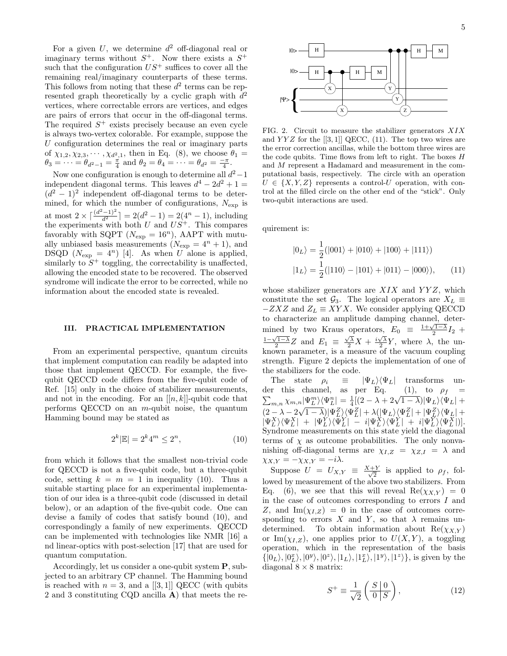For a given  $U$ , we determine  $d^2$  off-diagonal real or imaginary terms without  $S^+$ . Now there exists a  $S^+$ such that the configuration  $US^+$  suffices to cover all the remaining real/imaginary counterparts of these terms. This follows from noting that these  $d^2$  terms can be represented graph theoretically by a cyclic graph with  $d^2$ vertices, where correctable errors are vertices, and edges are pairs of errors that occur in the off-diagonal terms. The required  $S^+$  exists precisely because an even cycle is always two-vertex colorable. For example, suppose the U configuration determines the real or imaginary parts of  $\chi_{1,2}, \chi_{2,3}, \cdots, \chi_{d^2,1}$ , then in Eq. (8), we choose  $\theta_1 =$  $\theta_3 = \cdots = \theta_{d^2-1} = \frac{\pi}{4}$  and  $\theta_2 = \theta_4 = \cdots = \theta_{d^2} = \frac{-\pi}{4}$ .

Now one configuration is enough to determine all  $d^2-1$ independent diagonal terms. This leaves  $d^4 - 2d^2 + 1 =$  $(d^2 - 1)^2$  independent off-diagonal terms to be determined, for which the number of configurations,  $N_{\rm exp}$  is at most  $2 \times \left[ \frac{(d^2-1)^2}{d^2} \right] = 2(d^2-1) = 2(4^n-1)$ , including the experiments with both  $U$  and  $US^+$ . This compares favorably with SQPT ( $N_{\rm exp} = 16^n$ ), AAPT with mutually unbiased basis measurements  $(N_{exp} = 4<sup>n</sup> + 1)$ , and DSQD  $(N_{\text{exp}} = 4^n)$  [4]. As when  $U$  alone is applied, similarly to  $S^+$  toggling, the correctability is unaffected, allowing the encoded state to be recovered. The observed syndrome will indicate the error to be corrected, while no information about the encoded state is revealed.

### III. PRACTICAL IMPLEMENTATION

From an experimental perspective, quantum circuits that implement computation can readily be adapted into those that implement QECCD. For example, the fivequbit QECCD code differs from the five-qubit code of Ref. [15] only in the choice of stabilizer measurements, and not in the encoding. For an  $[ [n, k] ]$ -qubit code that performs QECCD on an m-qubit noise, the quantum Hamming bound may be stated as

$$
2^k|\mathbb{E}| = 2^k 4^m \le 2^n,\tag{10}
$$

from which it follows that the smallest non-trivial code for QECCD is not a five-qubit code, but a three-qubit code, setting  $k = m = 1$  in inequality (10). Thus a suitable starting place for an experimental implementation of our idea is a three-qubit code (discussed in detail below), or an adaption of the five-qubit code. One can devise a family of codes that satisfy bound (10), and correspondingly a family of new experiments. QECCD can be implemented with technologies like NMR [16] a nd linear-optics with post-selection [17] that are used for quantum computation.

Accordingly, let us consider a one-qubit system P, subjected to an arbitrary CP channel. The Hamming bound is reached with  $n = 3$ , and a [[3, 1]] QECC (with qubits 2 and 3 constituting CQD ancilla A) that meets the re-



FIG. 2. Circuit to measure the stabilizer generators XIX and  $YYZ$  for the [[3, 1]] QECC, (11). The top two wires are the error correction ancillas, while the bottom three wires are the code qubits. Time flows from left to right. The boxes H and M represent a Hadamard and measurement in the computational basis, respectively. The circle with an operation  $U \in \{X, Y, Z\}$  represents a control-U operation, with control at the filled circle on the other end of the "stick". Only two-qubit interactions are used.

quirement is:

$$
|0_L\rangle = \frac{1}{2}(|001\rangle + |010\rangle + |100\rangle + |111\rangle)
$$
  

$$
|1_L\rangle = \frac{1}{2}(|110\rangle - |101\rangle + |011\rangle - |000\rangle), \qquad (11)
$$

whose stabilizer generators are  $XIX$  and  $YYZ$ , which constitute the set  $\mathcal{G}_3$ . The logical operators are  $X_L \equiv$  $-ZXZ$  and  $Z_L \equiv XYX$ . We consider applying QECCD to characterize an amplitude damping channel, determined by two Kraus operators,  $E_0 = \frac{1+\sqrt{1-\lambda}}{2}I_2 +$  $\frac{1-\sqrt{1-\lambda}}{2}Z$  and  $E_1 \equiv \frac{\sqrt{\lambda}}{2}X + \frac{i\sqrt{\lambda}}{2}Y$ , where  $\lambda$ , the unknown parameter, is a measure of the vacuum coupling strength. Figure 2 depicts the implementation of one of the stabilizers for the code.

The state  $\rho_i \equiv |\Psi_L\rangle \langle \Psi_L|$  transforms un-<br>r this channel as per Eq. (1), to  $\rho_f =$ der this channel, as per Eq.  $\sum_{m,n} \chi_{m,n} |\Psi_L^m\rangle\langle\Psi_L^n| = \frac{1}{4} [(2-\lambda+2\sqrt{1-\lambda}) |\Psi_L\rangle\langle\Psi_L| +$  $(1)$ , to  $\rho_f$  $(2-\lambda)-2\sqrt{1-\lambda})\Psi_{L}^{Z}\sqrt{\Psi_{L}^{Z}}|+\lambda(\Psi_{L})\Psi_{L}^{Z}|+\Psi_{L}^{Z}\sqrt{\Psi_{L}}|+$  $|\Psi^X_L\rangle\langle\Psi^X_L| + |\Psi^Y_L\rangle\langle\bar{\Psi}^Y_L| - i|\Psi^X_L\rangle\langle\Psi^Y_L| + i|\Psi^Y_L\rangle\langle\Psi^X_L|)].$ Syndrome measurements on this state yield the diagonal terms of  $\chi$  as outcome probabilities. The only nonvanishing off-diagonal terms are  $\chi_{I,Z} = \chi_{Z,I} = \lambda$  and  $\chi_{X,Y} = -\chi_{X,Y} = -i\lambda.$ 

Suppose  $U = U_{X,Y} \equiv \frac{X+Y}{\sqrt{2}}$  $\frac{Y}{2}$  is applied to  $\rho_f$ , followed by measurement of the above two stabilizers. From Eq. (6), we see that this will reveal  $\text{Re}(\chi_{X,Y}) = 0$ in the case of outcomes corresponding to errors  $I$  and Z, and Im $(\chi_{I,Z}) = 0$  in the case of outcomes corresponding to errors X and Y, so that  $\lambda$  remains undetermined. To obtain information about  $\text{Re}(\chi_{X,Y})$ or Im( $\chi_{I,Z}$ ), one applies prior to  $U(X,Y)$ , a toggling operation, which in the representation of the basis  $\{|0_L\rangle, |0_L^x\rangle, |0^y\rangle, |0^z\rangle, |1_L\rangle, |1_L^x\rangle, |1^y\rangle, |1^z\rangle\},$  is given by the diagonal  $8 \times 8$  matrix:

$$
S^{+} \equiv \frac{1}{\sqrt{2}} \left( \frac{S \mid 0}{0 \mid S} \right), \tag{12}
$$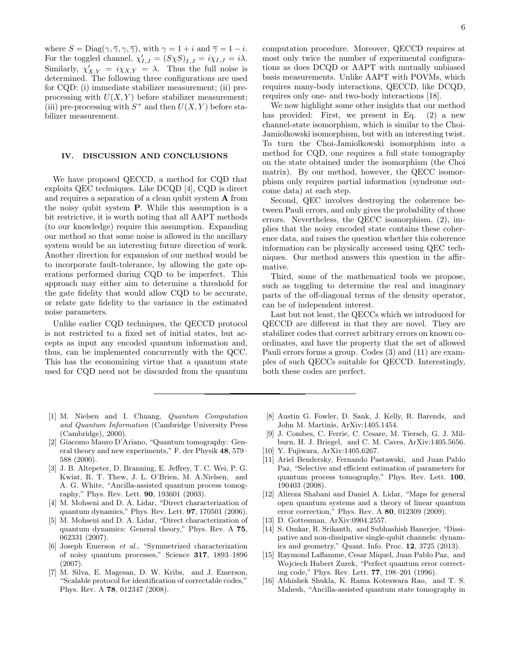where  $S = \text{Diag}(\gamma, \overline{\gamma}, \gamma, \overline{\gamma})$ , with  $\gamma = 1 + i$  and  $\overline{\gamma} = 1 - i$ . For the toggled channel,  $\chi'_{I,J} = (S\chi S)_{I,J} = i\chi_{I,J} = i\lambda$ . Similarly,  $\chi'_{X,Y} = i\chi_{X,Y} = \lambda$ . Thus the full noise is determined. The following three configurations are used for CQD: (i) immediate stabilizer measurement; (ii) preprocessing with  $U(X, Y)$  before stabilizer measurement; (iii) pre-processing with  $S^+$  and then  $U(X, Y)$  before stabilizer measurement.

## IV. DISCUSSION AND CONCLUSIONS

We have proposed QECCD, a method for CQD that exploits QEC techniques. Like DCQD [4], CQD is direct and requires a separation of a clean qubit system A from the noisy qubit system P. While this assumption is a bit restrictive, it is worth noting that all AAPT methods (to our knowledge) require this assumption. Expanding our method so that some noise is allowed in the ancillary system would be an interesting future direction of work. Another direction for expansion of our method would be to incorporate fault-tolerance, by allowing the gate operations performed during CQD to be imperfect. This approach may either aim to determine a threshold for the gate fidelity that would allow CQD to be accurate, or relate gate fidelity to the variance in the estimated noise parameters.

Unlike earlier CQD techniques, the QECCD protocol is not restricted to a fixed set of initial states, but accepts as input any encoded quantum information and, thus, can be implemented concurrently with the QCC. This has the economizing virtue that a quantum state used for CQD need not be discarded from the quantum

We now highlight some other insights that our method has provided: First, we present in Eq.  $(2)$  a new channel-state isomorphism, which is similar to the Choi-Jamiolkowski isomorphism, but with an interesting twist. To turn the Choi-Jamiolkowski isomorphism into a method for CQD, one requires a full state tomography on the state obtained under the isomorphism (the Choi matrix). By our method, however, the QECC isomorphism only requires partial information (syndrome outcome data) at each step.

Second, QEC involves destroying the coherence between Pauli errors, and only gives the probability of those errors. Nevertheless, the QECC isomorphism, (2), implies that the noisy encoded state contains these coherence data, and raises the question whether this coherence information can be physically accessed using QEC techniques. Our method answers this question in the affirmative.

Third, some of the mathematical tools we propose, such as toggling to determine the real and imaginary parts of the off-diagonal terms of the density operator, can be of independent interest.

Last but not least, the QECCs which we introduced for QECCD are different in that they are novel. They are stabilizer codes that correct arbitrary errors on known coordinates, and have the property that the set of allowed Pauli errors forms a group. Codes (3) and (11) are examples of such QECCs suitable for QECCD. Interestingly, both these codes are perfect.

- [1] M. Nielsen and I. Chuang, Quantum Computation and Quantum Information (Cambridge University Press (Cambridge), 2000).
- [2] Giacomo Mauro D'Ariano, "Quantum tomography: General theory and new experiments," F. der Physik 48, 579– 588 (2000).
- [3] J. B. Altepeter, D. Branning, E. Jeffrey, T. C. Wei, P. G. Kwiat, R. T. Thew, J. L. O'Brien, M. A.Nielsen, and A. G. White, "Ancilla-assisted quantum process tomography," Phys. Rev. Lett. 90, 193601 (2003).
- [4] M. Mohseni and D. A. Lidar, "Direct characterization of quantum dynamics," Phys. Rev. Lett. 97, 170501 (2006).
- [5] M. Mohseni and D. A. Lidar, "Direct characterization of quantum dynamics: General theory," Phys. Rev. A 75, 062331 (2007).
- [6] Joseph Emerson et al., "Symmetrized characterization of noisy quantum processes," Science 317, 1893–1896 (2007).
- [7] M. Silva, E. Magesan, D. W. Kribs, and J. Emerson, "Scalable protocol for identification of correctable codes," Phys. Rev. A 78, 012347 (2008).
- [8] Austin G. Fowler, D. Sank, J. Kelly, R. Barends, and John M. Martinis, ArXiv:1405.1454.
- [9] J. Combes, C. Ferrie, C. Cesare, M. Tiersch, G. J. Milburn, H. J. Briegel, and C. M. Caves, ArXiv:1405.5656.
- [10] Y. Fujiwara, ArXiv:1405.6267.
- [11] Ariel Bendersky, Fernando Pastawski, and Juan Pablo Paz, "Selective and efficient estimation of parameters for quantum process tomography," Phys. Rev. Lett. 100, 190403 (2008).
- [12] Alireza Shabani and Daniel A. Lidar, "Maps for general open quantum systems and a theory of linear quantum error correction," Phys. Rev. A 80, 012309 (2009).
- [13] D. Gottesman, ArXiv:0904.2557.
- [14] S. Omkar, R. Srikanth, and Subhashish Banerjee, "Dissipative and non-dissipative single-qubit channels: dynamics and geometry," Quant. Info. Proc. 12, 3725 (2013).
- [15] Raymond Laflamme, Cesar Miquel, Juan Pablo Paz, and Wojciech Hubert Zurek, "Perfect quantum error correcting code," Phys. Rev. Lett. 77, 198–201 (1996).
- [16] Abhishek Shukla, K. Rama Koteswara Rao, and T. S. Mahesh, "Ancilla-assisted quantum state tomography in